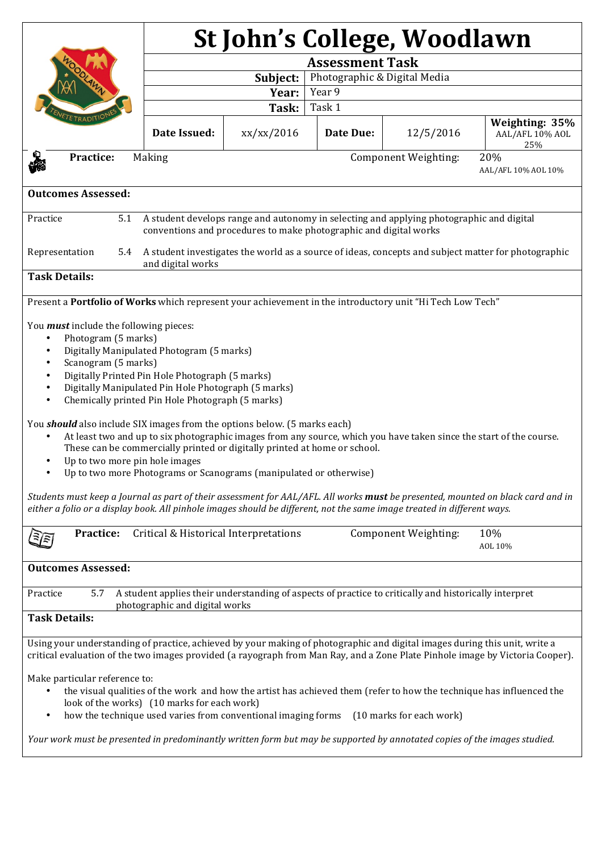|                                                                                                                                                                                                                                                                                                                                                                                              | St John's College, Woodlawn              |            |           |                      |                                          |  |
|----------------------------------------------------------------------------------------------------------------------------------------------------------------------------------------------------------------------------------------------------------------------------------------------------------------------------------------------------------------------------------------------|------------------------------------------|------------|-----------|----------------------|------------------------------------------|--|
|                                                                                                                                                                                                                                                                                                                                                                                              | <b>Assessment Task</b>                   |            |           |                      |                                          |  |
|                                                                                                                                                                                                                                                                                                                                                                                              | Subject:<br>Photographic & Digital Media |            |           |                      |                                          |  |
|                                                                                                                                                                                                                                                                                                                                                                                              |                                          | Year:      | Year 9    |                      |                                          |  |
|                                                                                                                                                                                                                                                                                                                                                                                              |                                          | Task:      | Task 1    |                      |                                          |  |
| TE TRADIT                                                                                                                                                                                                                                                                                                                                                                                    | Date Issued:                             | xx/xx/2016 | Date Due: | 12/5/2016            | Weighting: 35%<br>AAL/AFL 10% AOL<br>25% |  |
| Practice:<br>20%<br>Making<br>Component Weighting:<br>AAL/AFL 10% AOL 10%                                                                                                                                                                                                                                                                                                                    |                                          |            |           |                      |                                          |  |
| <b>Outcomes Assessed:</b>                                                                                                                                                                                                                                                                                                                                                                    |                                          |            |           |                      |                                          |  |
| A student develops range and autonomy in selecting and applying photographic and digital<br>Practice<br>5.1<br>conventions and procedures to make photographic and digital works                                                                                                                                                                                                             |                                          |            |           |                      |                                          |  |
| A student investigates the world as a source of ideas, concepts and subject matter for photographic<br>Representation<br>5.4<br>and digital works                                                                                                                                                                                                                                            |                                          |            |           |                      |                                          |  |
| <b>Task Details:</b>                                                                                                                                                                                                                                                                                                                                                                         |                                          |            |           |                      |                                          |  |
| Present a Portfolio of Works which represent your achievement in the introductory unit "Hi Tech Low Tech"                                                                                                                                                                                                                                                                                    |                                          |            |           |                      |                                          |  |
| You <i>must</i> include the following pieces:<br>Photogram (5 marks)<br>$\bullet$<br>Digitally Manipulated Photogram (5 marks)<br>$\bullet$<br>Scanogram (5 marks)<br>$\bullet$<br>Digitally Printed Pin Hole Photograph (5 marks)<br>$\bullet$<br>Digitally Manipulated Pin Hole Photograph (5 marks)<br>$\bullet$<br>Chemically printed Pin Hole Photograph (5 marks)<br>$\bullet$         |                                          |            |           |                      |                                          |  |
| You <b>should</b> also include SIX images from the options below. (5 marks each)<br>At least two and up to six photographic images from any source, which you have taken since the start of the course.<br>These can be commercially printed or digitally printed at home or school.<br>Up to two more pin hole images<br>Up to two more Photograms or Scanograms (manipulated or otherwise) |                                          |            |           |                      |                                          |  |
| Students must keep a Journal as part of their assessment for AAL/AFL. All works must be presented, mounted on black card and in<br>either a folio or a display book. All pinhole images should be different, not the same image treated in different ways.                                                                                                                                   |                                          |            |           |                      |                                          |  |
| Practice:                                                                                                                                                                                                                                                                                                                                                                                    | Critical & Historical Interpretations    |            |           | Component Weighting: | 10%<br>AOL 10%                           |  |
| <b>Outcomes Assessed:</b>                                                                                                                                                                                                                                                                                                                                                                    |                                          |            |           |                      |                                          |  |
| A student applies their understanding of aspects of practice to critically and historically interpret<br>Practice<br>5.7<br>photographic and digital works                                                                                                                                                                                                                                   |                                          |            |           |                      |                                          |  |
| <b>Task Details:</b>                                                                                                                                                                                                                                                                                                                                                                         |                                          |            |           |                      |                                          |  |
| Using your understanding of practice, achieved by your making of photographic and digital images during this unit, write a<br>critical evaluation of the two images provided (a rayograph from Man Ray, and a Zone Plate Pinhole image by Victoria Cooper).                                                                                                                                  |                                          |            |           |                      |                                          |  |
| Make particular reference to:<br>the visual qualities of the work and how the artist has achieved them (refer to how the technique has influenced the<br>look of the works) (10 marks for each work)<br>how the technique used varies from conventional imaging forms<br>(10 marks for each work)<br>$\bullet$                                                                               |                                          |            |           |                      |                                          |  |
| Your work must be presented in predominantly written form but may be supported by annotated copies of the images studied.                                                                                                                                                                                                                                                                    |                                          |            |           |                      |                                          |  |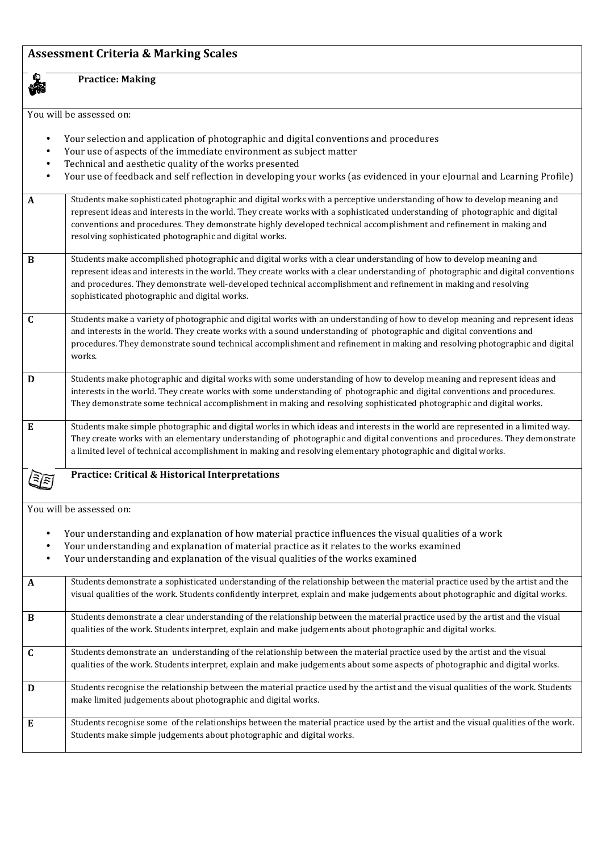## **Assessment Criteria & Marking Scales**

**Practice: Making** 

You will be assessed on:

**Co** 

| Your selection and application of photographic and digital conventions and procedures<br>Your use of aspects of the immediate environment as subject matter<br>Technical and aesthetic quality of the works presented<br>$\bullet$<br>Your use of feedback and self reflection in developing your works (as evidenced in your eJournal and Learning Profile) |                                                                                                                                                                                                                                                                                                                                                                                                                                            |  |  |  |
|--------------------------------------------------------------------------------------------------------------------------------------------------------------------------------------------------------------------------------------------------------------------------------------------------------------------------------------------------------------|--------------------------------------------------------------------------------------------------------------------------------------------------------------------------------------------------------------------------------------------------------------------------------------------------------------------------------------------------------------------------------------------------------------------------------------------|--|--|--|
| $\mathbf{A}$                                                                                                                                                                                                                                                                                                                                                 | Students make sophisticated photographic and digital works with a perceptive understanding of how to develop meaning and<br>represent ideas and interests in the world. They create works with a sophisticated understanding of photographic and digital<br>conventions and procedures. They demonstrate highly developed technical accomplishment and refinement in making and<br>resolving sophisticated photographic and digital works. |  |  |  |
| $\bf{B}$                                                                                                                                                                                                                                                                                                                                                     | Students make accomplished photographic and digital works with a clear understanding of how to develop meaning and<br>represent ideas and interests in the world. They create works with a clear understanding of photographic and digital conventions<br>and procedures. They demonstrate well-developed technical accomplishment and refinement in making and resolving<br>sophisticated photographic and digital works.                 |  |  |  |
| $\mathbf C$                                                                                                                                                                                                                                                                                                                                                  | Students make a variety of photographic and digital works with an understanding of how to develop meaning and represent ideas<br>and interests in the world. They create works with a sound understanding of photographic and digital conventions and<br>procedures. They demonstrate sound technical accomplishment and refinement in making and resolving photographic and digital<br>works.                                             |  |  |  |
| D                                                                                                                                                                                                                                                                                                                                                            | Students make photographic and digital works with some understanding of how to develop meaning and represent ideas and<br>interests in the world. They create works with some understanding of photographic and digital conventions and procedures.<br>They demonstrate some technical accomplishment in making and resolving sophisticated photographic and digital works.                                                                |  |  |  |
| $\bf{E}$                                                                                                                                                                                                                                                                                                                                                     | Students make simple photographic and digital works in which ideas and interests in the world are represented in a limited way.<br>They create works with an elementary understanding of photographic and digital conventions and procedures. They demonstrate<br>a limited level of technical accomplishment in making and resolving elementary photographic and digital works.                                                           |  |  |  |
| <b>Practice: Critical &amp; Historical Interpretations</b>                                                                                                                                                                                                                                                                                                   |                                                                                                                                                                                                                                                                                                                                                                                                                                            |  |  |  |
| You will be assessed on:                                                                                                                                                                                                                                                                                                                                     |                                                                                                                                                                                                                                                                                                                                                                                                                                            |  |  |  |
| $\bullet$<br>$\bullet$<br>$\bullet$                                                                                                                                                                                                                                                                                                                          | Your understanding and explanation of how material practice influences the visual qualities of a work<br>Your understanding and explanation of material practice as it relates to the works examined<br>Your understanding and explanation of the visual qualities of the works examined                                                                                                                                                   |  |  |  |
| $\mathbf{A}$                                                                                                                                                                                                                                                                                                                                                 | Students demonstrate a sophisticated understanding of the relationship between the material practice used by the artist and the<br>visual qualities of the work. Students confidently interpret, explain and make judgements about photographic and digital works.                                                                                                                                                                         |  |  |  |
| $\bf{B}$                                                                                                                                                                                                                                                                                                                                                     | Students demonstrate a clear understanding of the relationship between the material practice used by the artist and the visual<br>qualities of the work. Students interpret, explain and make judgements about photographic and digital works.                                                                                                                                                                                             |  |  |  |
| $\mathbf C$                                                                                                                                                                                                                                                                                                                                                  | Students demonstrate an understanding of the relationship between the material practice used by the artist and the visual<br>qualities of the work. Students interpret, explain and make judgements about some aspects of photographic and digital works.                                                                                                                                                                                  |  |  |  |
| D                                                                                                                                                                                                                                                                                                                                                            | Students recognise the relationship between the material practice used by the artist and the visual qualities of the work. Students<br>make limited judgements about photographic and digital works.                                                                                                                                                                                                                                       |  |  |  |
| E                                                                                                                                                                                                                                                                                                                                                            | Students recognise some of the relationships between the material practice used by the artist and the visual qualities of the work.<br>Students make simple judgements about photographic and digital works.                                                                                                                                                                                                                               |  |  |  |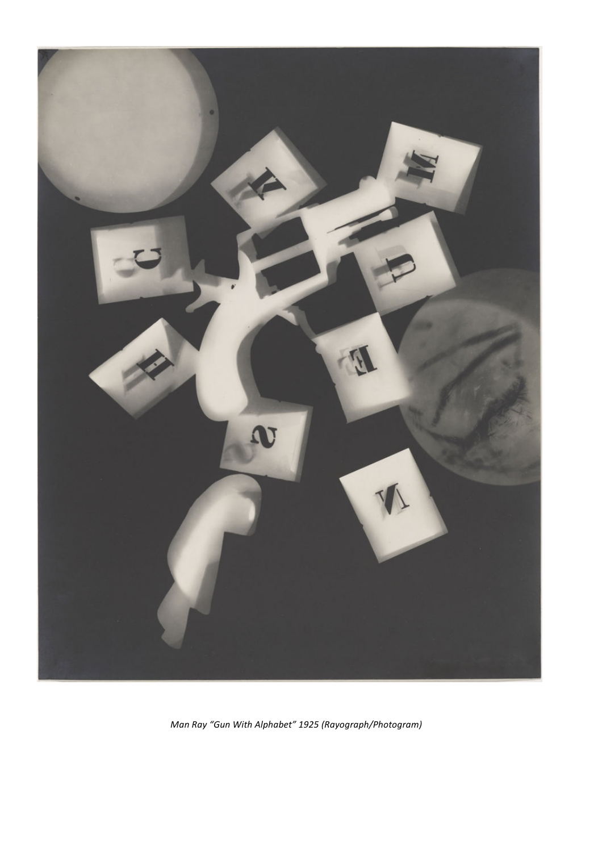

*Man Ray "Gun With Alphabet" 1925 (Rayograph/Photogram)*